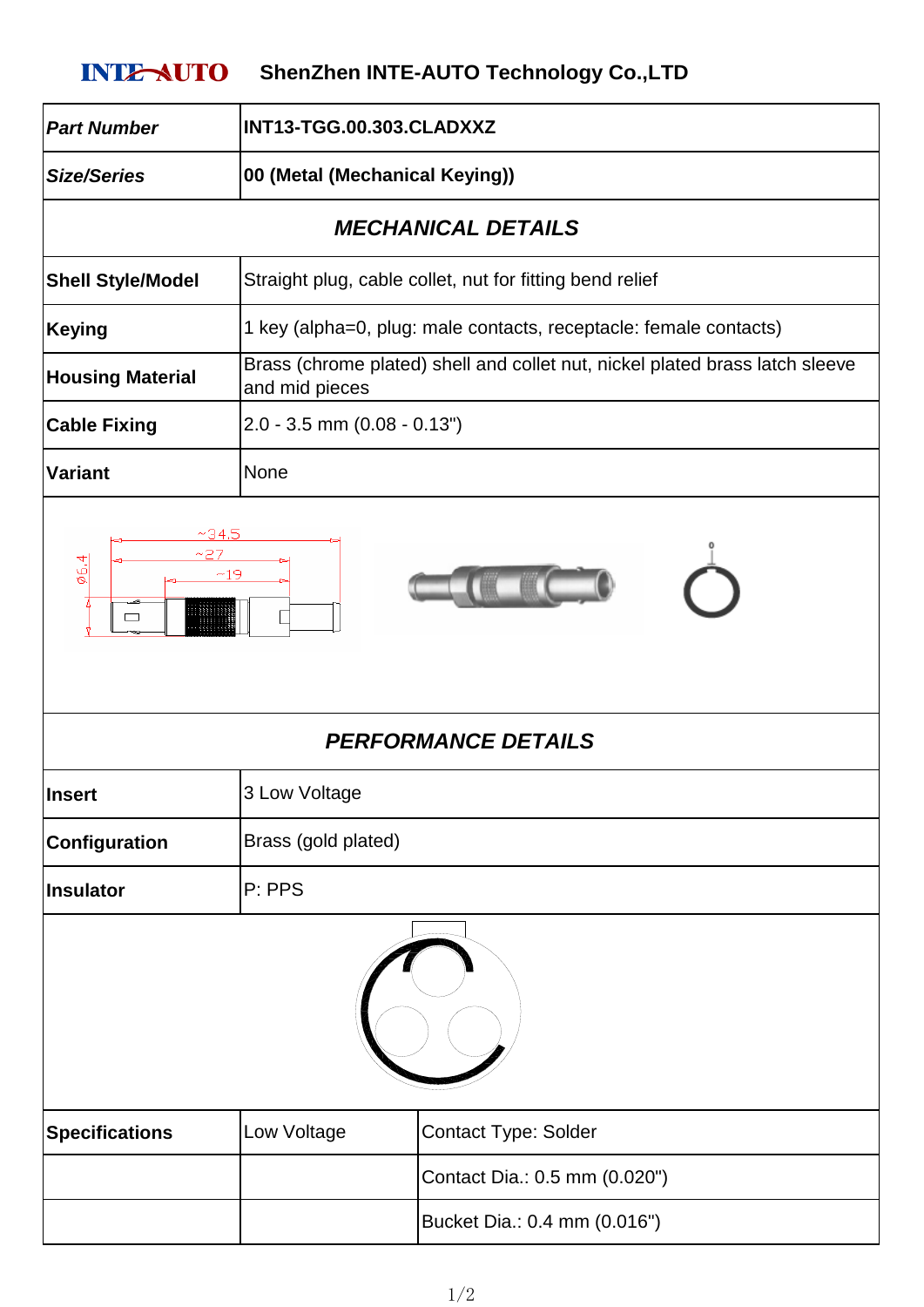## **INTE-AUTO** ShenZhen INTE-AUTO Technology Co.,LTD

| <b>Part Number</b>                                             | INT13-TGG.00.303.CLADXXZ                                                                       |                                                                   |
|----------------------------------------------------------------|------------------------------------------------------------------------------------------------|-------------------------------------------------------------------|
| <b>Size/Series</b>                                             | 00 (Metal (Mechanical Keying))                                                                 |                                                                   |
| <b>MECHANICAL DETAILS</b>                                      |                                                                                                |                                                                   |
| <b>Shell Style/Model</b>                                       | Straight plug, cable collet, nut for fitting bend relief                                       |                                                                   |
| <b>Keying</b>                                                  |                                                                                                | 1 key (alpha=0, plug: male contacts, receptacle: female contacts) |
| <b>Housing Material</b>                                        | Brass (chrome plated) shell and collet nut, nickel plated brass latch sleeve<br>and mid pieces |                                                                   |
| <b>Cable Fixing</b>                                            | $2.0 - 3.5$ mm $(0.08 - 0.13")$                                                                |                                                                   |
| <b>Variant</b>                                                 | None                                                                                           |                                                                   |
| 06.4<br>$\overline{\phantom{a}}$<br><b>PERFORMANCE DETAILS</b> |                                                                                                |                                                                   |
| <b>Insert</b>                                                  | 3 Low Voltage                                                                                  |                                                                   |
| Configuration                                                  | Brass (gold plated)                                                                            |                                                                   |
| <b>Insulator</b>                                               | P: PPS                                                                                         |                                                                   |
|                                                                |                                                                                                |                                                                   |
| <b>Specifications</b>                                          | Low Voltage                                                                                    | Contact Type: Solder                                              |
|                                                                |                                                                                                | Contact Dia.: 0.5 mm (0.020")                                     |
|                                                                |                                                                                                | Bucket Dia.: 0.4 mm (0.016")                                      |